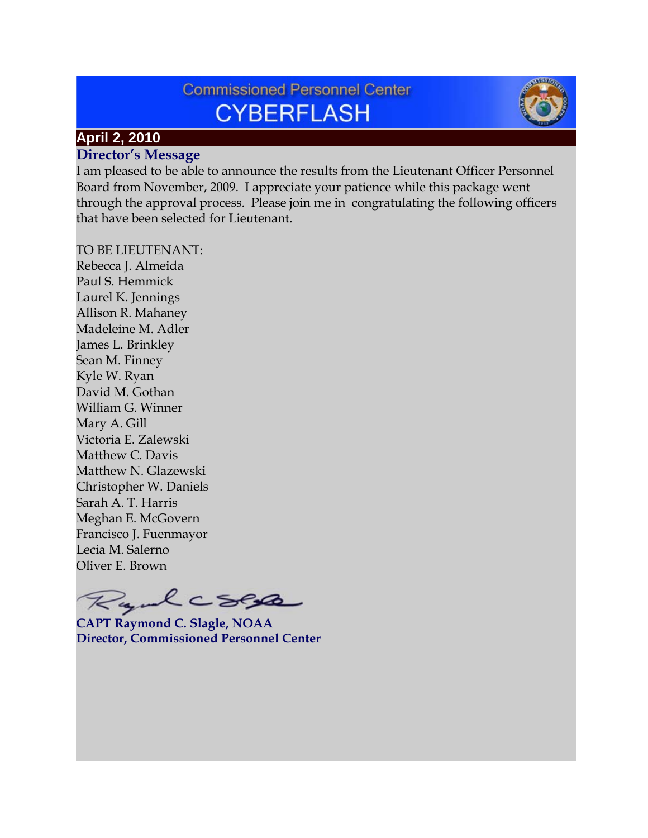# **Commissioned Personnel Center CYBERFLASH**



## **April 2, 2010**

#### **Director's Message**

I am pleased to be able to announce the results from the Lieutenant Officer Personnel Board from November, 2009. I appreciate your patience while this package went through the approval process. Please join me in congratulating the following officers that have been selected for Lieutenant.

TO BE LIEUTENANT:

Rebecca J. Almeida Paul S. Hemmick Laurel K. Jennings Allison R. Mahaney Madeleine M. Adler James L. Brinkley Sean M. Finney Kyle W. Ryan David M. Gothan William G. Winner Mary A. Gill Victoria E. Zalewski Matthew C. Davis Matthew N. Glazewski Christopher W. Daniels Sarah A. T. Harris Meghan E. McGovern Francisco J. Fuenmayor Lecia M. Salerno Oliver E. Brown

Rundcoll

**CAPT Raymond C. Slagle, NOAA Director, Commissioned Personnel Center**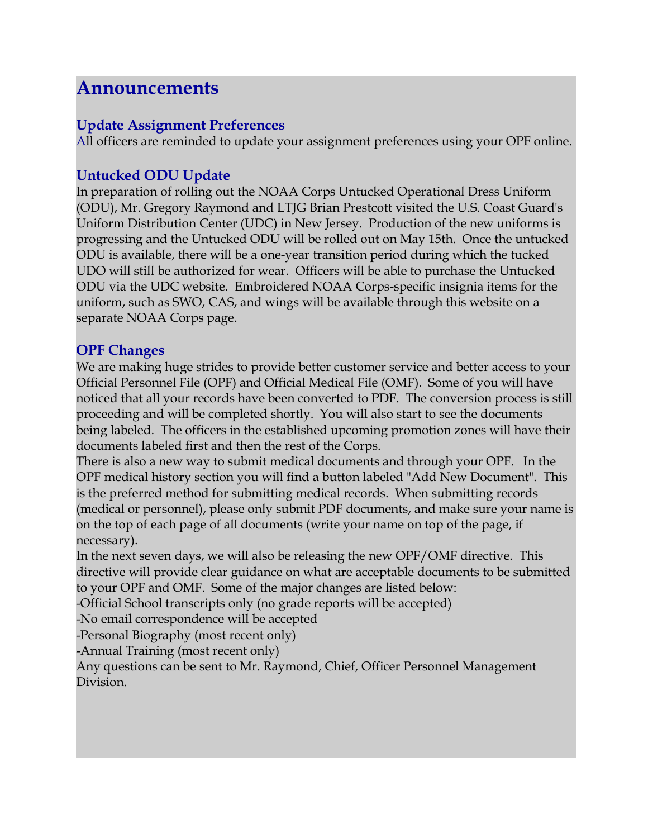## **Announcements**

## **Update Assignment Preferences**

All officers are reminded to update your assignment preferences using your OPF online.

### **Untucked ODU Update**

In preparation of rolling out the NOAA Corps Untucked Operational Dress Uniform (ODU), Mr. Gregory Raymond and LTJG Brian Prestcott visited the U.S. Coast Guard's Uniform Distribution Center (UDC) in New Jersey. Production of the new uniforms is progressing and the Untucked ODU will be rolled out on May 15th. Once the untucked ODU is available, there will be a one-year transition period during which the tucked UDO will still be authorized for wear. Officers will be able to purchase the Untucked ODU via the UDC website. Embroidered NOAA Corps-specific insignia items for the uniform, such as SWO, CAS, and wings will be available through this website on a separate NOAA Corps page.

## **OPF Changes**

We are making huge strides to provide better customer service and better access to your Official Personnel File (OPF) and Official Medical File (OMF). Some of you will have noticed that all your records have been converted to PDF. The conversion process is still proceeding and will be completed shortly. You will also start to see the documents being labeled. The officers in the established upcoming promotion zones will have their documents labeled first and then the rest of the Corps.

There is also a new way to submit medical documents and through your OPF. In the OPF medical history section you will find a button labeled "Add New Document". This is the preferred method for submitting medical records. When submitting records (medical or personnel), please only submit PDF documents, and make sure your name is on the top of each page of all documents (write your name on top of the page, if necessary).

In the next seven days, we will also be releasing the new OPF/OMF directive. This directive will provide clear guidance on what are acceptable documents to be submitted to your OPF and OMF. Some of the major changes are listed below:

-Official School transcripts only (no grade reports will be accepted)

-No email correspondence will be accepted

-Personal Biography (most recent only)

-Annual Training (most recent only)

Any questions can be sent to Mr. Raymond, Chief, Officer Personnel Management Division.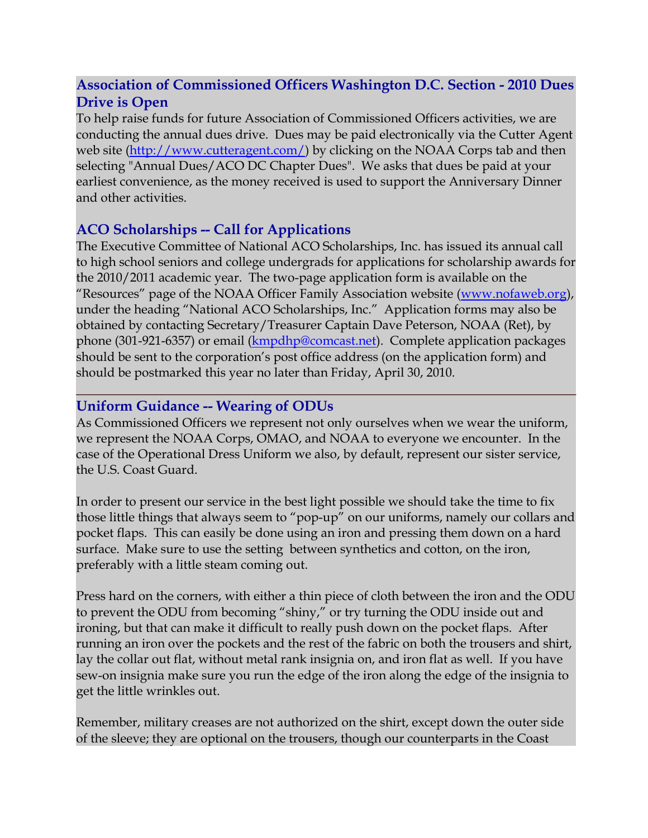## **Association of Commissioned Officers Washington D.C. Section - 2010 Dues Drive is Open**

To help raise funds for future Association of Commissioned Officers activities, we are conducting the annual dues drive. Dues may be paid electronically via the Cutter Agent web site [\(http://www.cutteragent.com/\)](http://www.cutteragent.com/) by clicking on the NOAA Corps tab and then selecting "Annual Dues/ACO DC Chapter Dues". We asks that dues be paid at your earliest convenience, as the money received is used to support the Anniversary Dinner and other activities.

### **ACO Scholarships -- Call for Applications**

The Executive Committee of National ACO Scholarships, Inc. has issued its annual call to high school seniors and college undergrads for applications for scholarship awards for the 2010/2011 academic year. The two-page application form is available on the "Resources" page of the NOAA Officer Family Association website [\(www.nofaweb.org\)](http://www.nofaweb.org/), under the heading "National ACO Scholarships, Inc." Application forms may also be obtained by contacting Secretary/Treasurer Captain Dave Peterson, NOAA (Ret), by phone (301-921-6357) or email [\(kmpdhp@comcast.net\)](mailto:kmpdhp@comcast.net). Complete application packages should be sent to the corporation's post office address (on the application form) and should be postmarked this year no later than Friday, April 30, 2010.

## **Uniform Guidance -- Wearing of ODUs**

As Commissioned Officers we represent not only ourselves when we wear the uniform, we represent the NOAA Corps, OMAO, and NOAA to everyone we encounter. In the case of the Operational Dress Uniform we also, by default, represent our sister service, the U.S. Coast Guard.

**\_\_\_\_\_\_\_\_\_\_\_\_\_\_\_\_\_\_\_\_\_\_\_\_\_\_\_\_\_\_\_\_\_\_\_\_\_\_\_\_\_\_\_\_\_\_\_\_\_\_\_\_\_\_\_\_\_\_\_\_\_\_\_\_\_\_\_\_\_\_**

In order to present our service in the best light possible we should take the time to fix those little things that always seem to "pop-up" on our uniforms, namely our collars and pocket flaps. This can easily be done using an iron and pressing them down on a hard surface. Make sure to use the setting between synthetics and cotton, on the iron, preferably with a little steam coming out.

Press hard on the corners, with either a thin piece of cloth between the iron and the ODU to prevent the ODU from becoming "shiny," or try turning the ODU inside out and ironing, but that can make it difficult to really push down on the pocket flaps. After running an iron over the pockets and the rest of the fabric on both the trousers and shirt, lay the collar out flat, without metal rank insignia on, and iron flat as well. If you have sew-on insignia make sure you run the edge of the iron along the edge of the insignia to get the little wrinkles out.

Remember, military creases are not authorized on the shirt, except down the outer side of the sleeve; they are optional on the trousers, though our counterparts in the Coast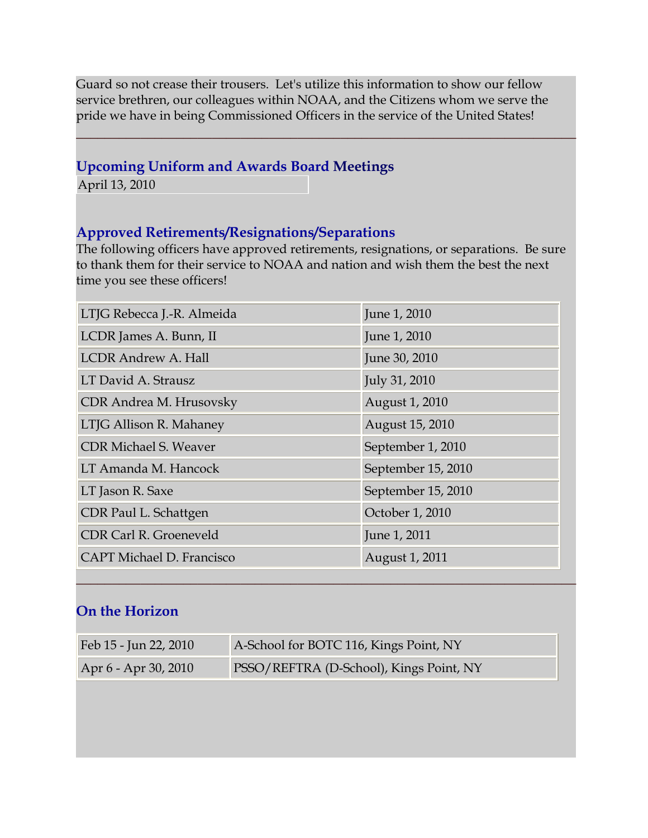Guard so not crease their trousers. Let's utilize this information to show our fellow service brethren, our colleagues within NOAA, and the Citizens whom we serve the pride we have in being Commissioned Officers in the service of the United States!

**\_\_\_\_\_\_\_\_\_\_\_\_\_\_\_\_\_\_\_\_\_\_\_\_\_\_\_\_\_\_\_\_\_\_\_\_\_\_\_\_\_\_\_\_\_\_\_\_\_\_\_\_\_\_\_\_\_\_\_\_\_\_\_\_\_\_\_\_\_\_**

### **Upcoming Uniform and Awards Board Meetings**

April 13, 2010

#### **Approved Retirements/Resignations/Separations**

The following officers have approved retirements, resignations, or separations. Be sure to thank them for their service to NOAA and nation and wish them the best the next time you see these officers!

| LTJG Rebecca J.-R. Almeida       | June 1, 2010       |
|----------------------------------|--------------------|
| LCDR James A. Bunn, II           | June 1, 2010       |
| <b>LCDR Andrew A. Hall</b>       | June 30, 2010      |
| LT David A. Strausz              | July 31, 2010      |
| CDR Andrea M. Hrusovsky          | August 1, 2010     |
| LTJG Allison R. Mahaney          | August 15, 2010    |
| <b>CDR Michael S. Weaver</b>     | September 1, 2010  |
| LT Amanda M. Hancock             | September 15, 2010 |
| LT Jason R. Saxe                 | September 15, 2010 |
| CDR Paul L. Schattgen            | October 1, 2010    |
| CDR Carl R. Groeneveld           | June 1, 2011       |
| <b>CAPT Michael D. Francisco</b> | August 1, 2011     |

## **On the Horizon**

| Feb 15 - Jun 22, 2010 | A-School for BOTC 116, Kings Point, NY  |
|-----------------------|-----------------------------------------|
| Apr 6 - Apr 30, 2010  | PSSO/REFTRA (D-School), Kings Point, NY |

**\_\_\_\_\_\_\_\_\_\_\_\_\_\_\_\_\_\_\_\_\_\_\_\_\_\_\_\_\_\_\_\_\_\_\_\_\_\_\_\_\_\_\_\_\_\_\_\_\_\_\_\_\_\_\_\_\_\_\_\_\_\_\_\_\_\_\_\_\_\_**